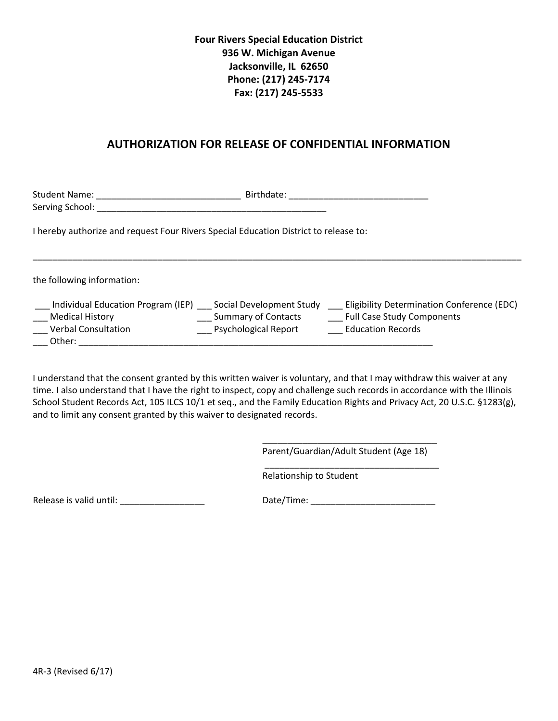## **Four Rivers Special Education District 936 W. Michigan Avenue Jacksonville, IL 62650 Phone: (217) 245-7174 Fax: (217) 245-5533**

## **AUTHORIZATION FOR RELEASE OF CONFIDENTIAL INFORMATION**

Student Name: \_\_\_\_\_\_\_\_\_\_\_\_\_\_\_\_\_\_\_\_\_\_\_\_\_\_\_\_\_ Birthdate: \_\_\_\_\_\_\_\_\_\_\_\_\_\_\_\_\_\_\_\_\_\_\_\_\_\_\_\_ Serving School: \_\_\_\_\_\_\_\_\_\_\_\_\_\_\_\_\_\_\_\_\_\_\_\_\_\_\_\_\_\_\_\_\_\_\_\_\_\_\_\_\_\_\_\_\_\_

I hereby authorize and request Four Rivers Special Education District to release to:

the following information:

| Individual Education Program (IEP) | Social Development Study    | Eligibility Determination Conference (EDC) |
|------------------------------------|-----------------------------|--------------------------------------------|
| <b>Medical History</b>             | <b>Summary of Contacts</b>  | <b>Full Case Study Components</b>          |
| Verbal Consultation                | <b>Psychological Report</b> | <b>Education Records</b>                   |
| Other:                             |                             |                                            |

\_\_\_\_\_\_\_\_\_\_\_\_\_\_\_\_\_\_\_\_\_\_\_\_\_\_\_\_\_\_\_\_\_\_\_\_\_\_\_\_\_\_\_\_\_\_\_\_\_\_\_\_\_\_\_\_\_\_\_\_\_\_\_\_\_\_\_\_\_\_\_\_\_\_\_\_\_\_\_\_\_\_\_\_\_\_\_\_\_\_\_\_\_\_\_\_\_\_

I understand that the consent granted by this written waiver is voluntary, and that I may withdraw this waiver at any time. I also understand that I have the right to inspect, copy and challenge such records in accordance with the Illinois School Student Records Act, 105 ILCS 10/1 et seq., and the Family Education Rights and Privacy Act, 20 U.S.C. §1283(g), and to limit any consent granted by this waiver to designated records.

> \_\_\_\_\_\_\_\_\_\_\_\_\_\_\_\_\_\_\_\_\_\_\_\_\_\_\_\_\_\_\_\_\_\_\_ Parent/Guardian/Adult Student (Age 18)

\_\_\_\_\_\_\_\_\_\_\_\_\_\_\_\_\_\_\_\_\_\_\_\_\_\_\_\_\_\_\_\_\_\_\_

Relationship to Student

Release is valid until: \_\_\_\_\_\_\_\_\_\_\_\_\_\_\_\_\_ Date/Time: \_\_\_\_\_\_\_\_\_\_\_\_\_\_\_\_\_\_\_\_\_\_\_\_\_